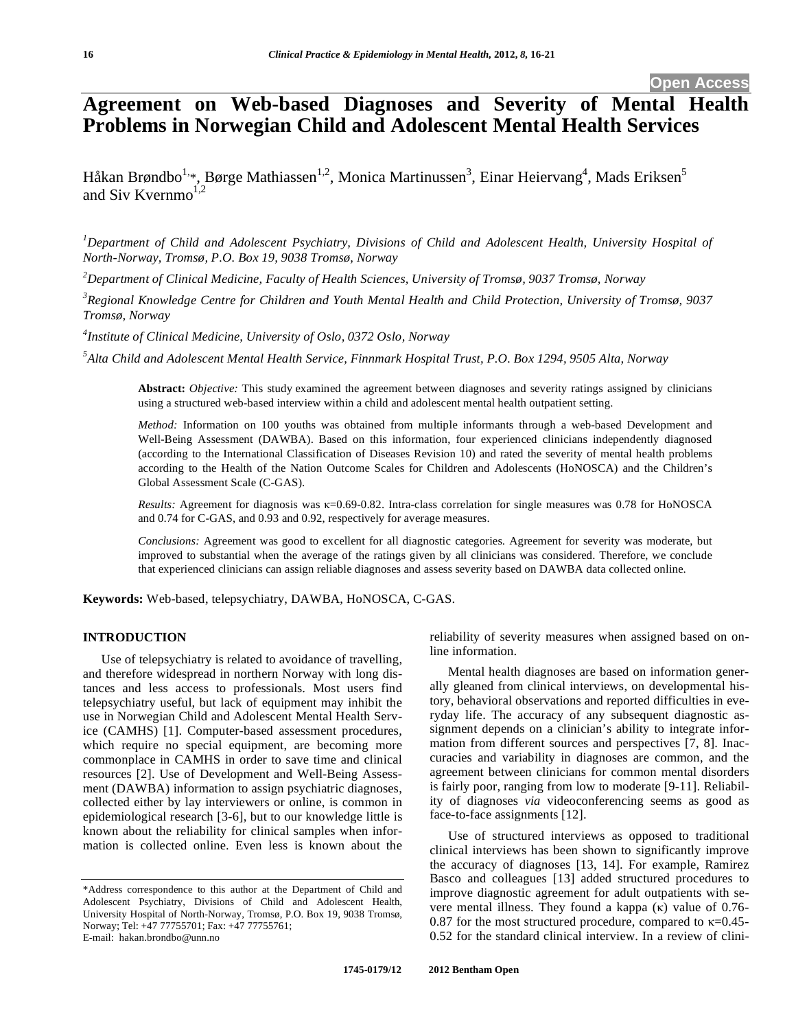# **Agreement on Web-based Diagnoses and Severity of Mental Health Problems in Norwegian Child and Adolescent Mental Health Services**

Håkan Brøndbo $^{1,*}$ , Børge Mathiassen $^{1,2}$ , Monica Martinussen $^3$ , Einar Heiervang $^4$ , Mads Eriksen $^5$ and Siv Kvernmo<sup>1,2</sup>

<sup>1</sup>Department of Child and Adolescent Psychiatry, Divisions of Child and Adolescent Health, University Hospital of *North-Norway, Tromsø, P.O. Box 19, 9038 Tromsø, Norway* 

*2 Department of Clinical Medicine, Faculty of Health Sciences, University of Tromsø, 9037 Tromsø, Norway*

*3 Regional Knowledge Centre for Children and Youth Mental Health and Child Protection, University of Tromsø, 9037 Tromsø, Norway*

*4 Institute of Clinical Medicine, University of Oslo, 0372 Oslo, Norway* 

*5 Alta Child and Adolescent Mental Health Service, Finnmark Hospital Trust, P.O. Box 1294, 9505 Alta, Norway* 

**Abstract:** *Objective:* This study examined the agreement between diagnoses and severity ratings assigned by clinicians using a structured web-based interview within a child and adolescent mental health outpatient setting.

*Method:* Information on 100 youths was obtained from multiple informants through a web-based Development and Well-Being Assessment (DAWBA). Based on this information, four experienced clinicians independently diagnosed (according to the International Classification of Diseases Revision 10) and rated the severity of mental health problems according to the Health of the Nation Outcome Scales for Children and Adolescents (HoNOSCA) and the Children's Global Assessment Scale (C-GAS).

*Results:* Agreement for diagnosis was  $\kappa$ =0.69-0.82. Intra-class correlation for single measures was 0.78 for HoNOSCA and 0.74 for C-GAS, and 0.93 and 0.92, respectively for average measures.

*Conclusions:* Agreement was good to excellent for all diagnostic categories. Agreement for severity was moderate, but improved to substantial when the average of the ratings given by all clinicians was considered. Therefore, we conclude that experienced clinicians can assign reliable diagnoses and assess severity based on DAWBA data collected online.

**Keywords:** Web-based, telepsychiatry, DAWBA, HoNOSCA, C-GAS.

# **INTRODUCTION**

Use of telepsychiatry is related to avoidance of travelling, and therefore widespread in northern Norway with long distances and less access to professionals. Most users find telepsychiatry useful, but lack of equipment may inhibit the use in Norwegian Child and Adolescent Mental Health Service (CAMHS) [1]. Computer-based assessment procedures, which require no special equipment, are becoming more commonplace in CAMHS in order to save time and clinical resources [2]. Use of Development and Well-Being Assessment (DAWBA) information to assign psychiatric diagnoses, collected either by lay interviewers or online, is common in epidemiological research [3-6], but to our knowledge little is known about the reliability for clinical samples when information is collected online. Even less is known about the

reliability of severity measures when assigned based on online information.

Mental health diagnoses are based on information generally gleaned from clinical interviews, on developmental history, behavioral observations and reported difficulties in everyday life. The accuracy of any subsequent diagnostic assignment depends on a clinician's ability to integrate information from different sources and perspectives [7, 8]. Inaccuracies and variability in diagnoses are common, and the agreement between clinicians for common mental disorders is fairly poor, ranging from low to moderate [9-11]. Reliability of diagnoses *via* videoconferencing seems as good as face-to-face assignments [12].

Use of structured interviews as opposed to traditional clinical interviews has been shown to significantly improve the accuracy of diagnoses [13, 14]. For example, Ramirez Basco and colleagues [13] added structured procedures to improve diagnostic agreement for adult outpatients with severe mental illness. They found a kappa  $(\kappa)$  value of 0.76-0.87 for the most structured procedure, compared to  $\kappa$ =0.45-0.52 for the standard clinical interview. In a review of clini-

<sup>\*</sup>Address correspondence to this author at the Department of Child and Adolescent Psychiatry, Divisions of Child and Adolescent Health, University Hospital of North-Norway, Tromsø, P.O. Box 19, 9038 Tromsø, Norway; Tel: +47 77755701; Fax: +47 77755761; E-mail: hakan.brondbo@unn.no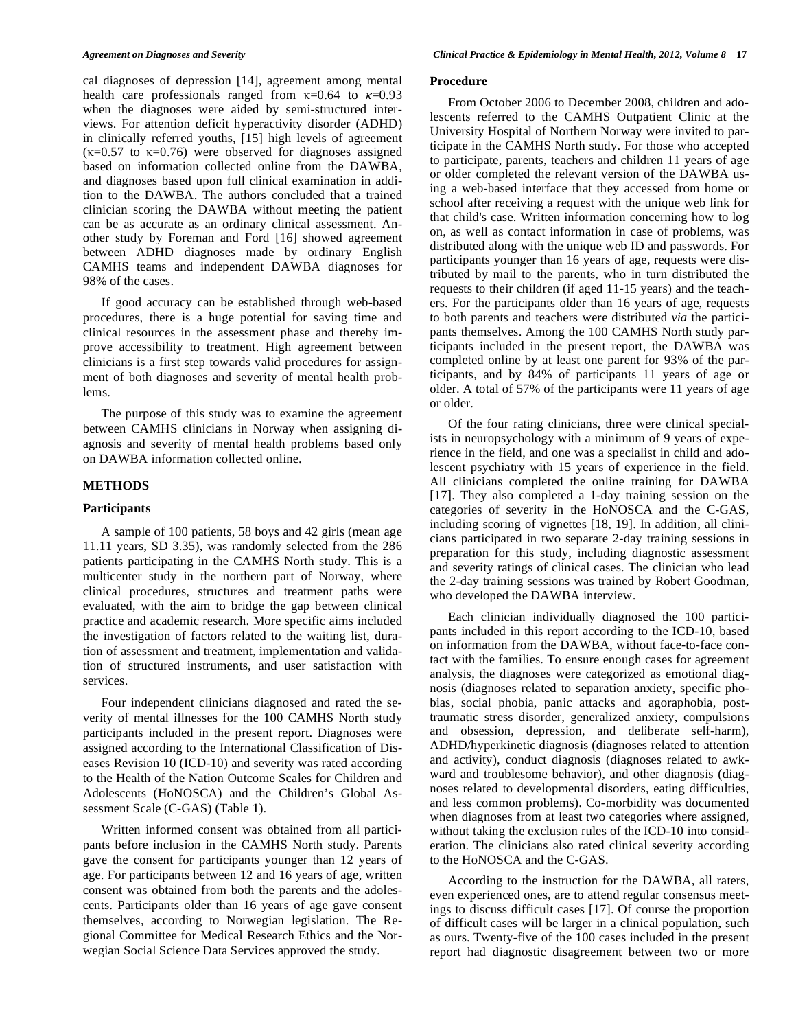cal diagnoses of depression [14], agreement among mental health care professionals ranged from  $\kappa$ =0.64 to  $\kappa$ =0.93 when the diagnoses were aided by semi-structured interviews. For attention deficit hyperactivity disorder (ADHD) in clinically referred youths, [15] high levels of agreement  $(k=0.57$  to  $k=0.76$ ) were observed for diagnoses assigned based on information collected online from the DAWBA, and diagnoses based upon full clinical examination in addition to the DAWBA. The authors concluded that a trained clinician scoring the DAWBA without meeting the patient can be as accurate as an ordinary clinical assessment. Another study by Foreman and Ford [16] showed agreement between ADHD diagnoses made by ordinary English CAMHS teams and independent DAWBA diagnoses for 98% of the cases.

If good accuracy can be established through web-based procedures, there is a huge potential for saving time and clinical resources in the assessment phase and thereby improve accessibility to treatment. High agreement between clinicians is a first step towards valid procedures for assignment of both diagnoses and severity of mental health problems.

The purpose of this study was to examine the agreement between CAMHS clinicians in Norway when assigning diagnosis and severity of mental health problems based only on DAWBA information collected online.

# **METHODS**

# **Participants**

A sample of 100 patients, 58 boys and 42 girls (mean age 11.11 years, SD 3.35), was randomly selected from the 286 patients participating in the CAMHS North study. This is a multicenter study in the northern part of Norway, where clinical procedures, structures and treatment paths were evaluated, with the aim to bridge the gap between clinical practice and academic research. More specific aims included the investigation of factors related to the waiting list, duration of assessment and treatment, implementation and validation of structured instruments, and user satisfaction with services.

Four independent clinicians diagnosed and rated the severity of mental illnesses for the 100 CAMHS North study participants included in the present report. Diagnoses were assigned according to the International Classification of Diseases Revision 10 (ICD-10) and severity was rated according to the Health of the Nation Outcome Scales for Children and Adolescents (HoNOSCA) and the Children's Global Assessment Scale (C-GAS) (Table **1**).

Written informed consent was obtained from all participants before inclusion in the CAMHS North study. Parents gave the consent for participants younger than 12 years of age. For participants between 12 and 16 years of age, written consent was obtained from both the parents and the adolescents. Participants older than 16 years of age gave consent themselves, according to Norwegian legislation. The Regional Committee for Medical Research Ethics and the Norwegian Social Science Data Services approved the study.

#### **Procedure**

From October 2006 to December 2008, children and adolescents referred to the CAMHS Outpatient Clinic at the University Hospital of Northern Norway were invited to participate in the CAMHS North study. For those who accepted to participate, parents, teachers and children 11 years of age or older completed the relevant version of the DAWBA using a web-based interface that they accessed from home or school after receiving a request with the unique web link for that child's case. Written information concerning how to log on, as well as contact information in case of problems, was distributed along with the unique web ID and passwords. For participants younger than 16 years of age, requests were distributed by mail to the parents, who in turn distributed the requests to their children (if aged 11-15 years) and the teachers. For the participants older than 16 years of age, requests to both parents and teachers were distributed *via* the participants themselves. Among the 100 CAMHS North study participants included in the present report, the DAWBA was completed online by at least one parent for 93% of the participants, and by 84% of participants 11 years of age or older. A total of 57% of the participants were 11 years of age or older.

Of the four rating clinicians, three were clinical specialists in neuropsychology with a minimum of 9 years of experience in the field, and one was a specialist in child and adolescent psychiatry with 15 years of experience in the field. All clinicians completed the online training for DAWBA [17]. They also completed a 1-day training session on the categories of severity in the HoNOSCA and the C-GAS, including scoring of vignettes [18, 19]. In addition, all clinicians participated in two separate 2-day training sessions in preparation for this study, including diagnostic assessment and severity ratings of clinical cases. The clinician who lead the 2-day training sessions was trained by Robert Goodman, who developed the DAWBA interview.

Each clinician individually diagnosed the 100 participants included in this report according to the ICD-10, based on information from the DAWBA, without face-to-face contact with the families. To ensure enough cases for agreement analysis, the diagnoses were categorized as emotional diagnosis (diagnoses related to separation anxiety, specific phobias, social phobia, panic attacks and agoraphobia, posttraumatic stress disorder, generalized anxiety, compulsions and obsession, depression, and deliberate self-harm), ADHD/hyperkinetic diagnosis (diagnoses related to attention and activity), conduct diagnosis (diagnoses related to awkward and troublesome behavior), and other diagnosis (diagnoses related to developmental disorders, eating difficulties, and less common problems). Co-morbidity was documented when diagnoses from at least two categories where assigned, without taking the exclusion rules of the ICD-10 into consideration. The clinicians also rated clinical severity according to the HoNOSCA and the C-GAS.

According to the instruction for the DAWBA, all raters, even experienced ones, are to attend regular consensus meetings to discuss difficult cases [17]. Of course the proportion of difficult cases will be larger in a clinical population, such as ours. Twenty-five of the 100 cases included in the present report had diagnostic disagreement between two or more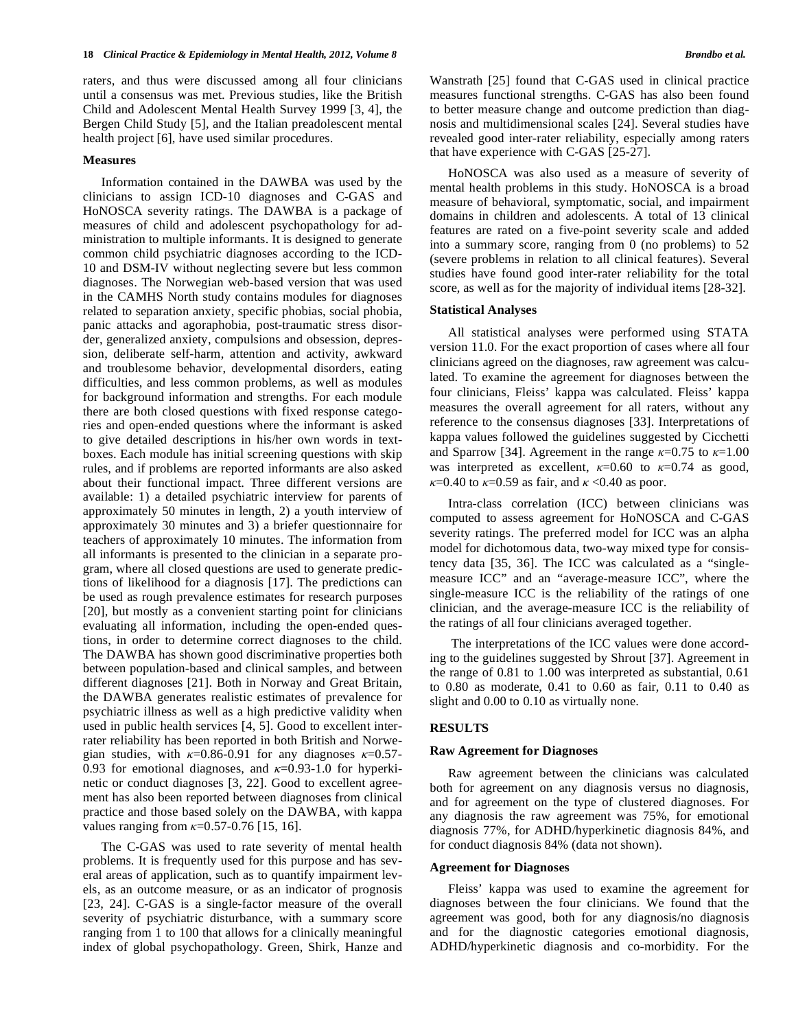raters, and thus were discussed among all four clinicians until a consensus was met. Previous studies, like the British Child and Adolescent Mental Health Survey 1999 [3, 4], the Bergen Child Study [5], and the Italian preadolescent mental health project [6], have used similar procedures.

#### **Measures**

Information contained in the DAWBA was used by the clinicians to assign ICD-10 diagnoses and C-GAS and HoNOSCA severity ratings. The DAWBA is a package of measures of child and adolescent psychopathology for administration to multiple informants. It is designed to generate common child psychiatric diagnoses according to the ICD-10 and DSM-IV without neglecting severe but less common diagnoses. The Norwegian web-based version that was used in the CAMHS North study contains modules for diagnoses related to separation anxiety, specific phobias, social phobia, panic attacks and agoraphobia, post-traumatic stress disorder, generalized anxiety, compulsions and obsession, depression, deliberate self-harm, attention and activity, awkward and troublesome behavior, developmental disorders, eating difficulties, and less common problems, as well as modules for background information and strengths. For each module there are both closed questions with fixed response categories and open-ended questions where the informant is asked to give detailed descriptions in his/her own words in textboxes. Each module has initial screening questions with skip rules, and if problems are reported informants are also asked about their functional impact. Three different versions are available: 1) a detailed psychiatric interview for parents of approximately 50 minutes in length, 2) a youth interview of approximately 30 minutes and 3) a briefer questionnaire for teachers of approximately 10 minutes. The information from all informants is presented to the clinician in a separate program, where all closed questions are used to generate predictions of likelihood for a diagnosis [17]. The predictions can be used as rough prevalence estimates for research purposes [20], but mostly as a convenient starting point for clinicians evaluating all information, including the open-ended questions, in order to determine correct diagnoses to the child. The DAWBA has shown good discriminative properties both between population-based and clinical samples, and between different diagnoses [21]. Both in Norway and Great Britain, the DAWBA generates realistic estimates of prevalence for psychiatric illness as well as a high predictive validity when used in public health services [4, 5]. Good to excellent interrater reliability has been reported in both British and Norwegian studies, with  $\kappa$ =0.86-0.91 for any diagnoses  $\kappa$ =0.57-0.93 for emotional diagnoses, and  $\kappa$ =0.93-1.0 for hyperkinetic or conduct diagnoses [3, 22]. Good to excellent agreement has also been reported between diagnoses from clinical practice and those based solely on the DAWBA, with kappa values ranging from  $\kappa = 0.57 - 0.76$  [15, 16].

The C-GAS was used to rate severity of mental health problems. It is frequently used for this purpose and has several areas of application, such as to quantify impairment levels, as an outcome measure, or as an indicator of prognosis [23, 24]. C-GAS is a single-factor measure of the overall severity of psychiatric disturbance, with a summary score ranging from 1 to 100 that allows for a clinically meaningful index of global psychopathology. Green, Shirk, Hanze and Wanstrath [25] found that C-GAS used in clinical practice measures functional strengths. C-GAS has also been found to better measure change and outcome prediction than diagnosis and multidimensional scales [24]. Several studies have revealed good inter-rater reliability, especially among raters that have experience with C-GAS [25-27].

HoNOSCA was also used as a measure of severity of mental health problems in this study. HoNOSCA is a broad measure of behavioral, symptomatic, social, and impairment domains in children and adolescents. A total of 13 clinical features are rated on a five-point severity scale and added into a summary score, ranging from 0 (no problems) to 52 (severe problems in relation to all clinical features). Several studies have found good inter-rater reliability for the total score, as well as for the majority of individual items [28-32].

### **Statistical Analyses**

All statistical analyses were performed using STATA version 11.0. For the exact proportion of cases where all four clinicians agreed on the diagnoses, raw agreement was calculated. To examine the agreement for diagnoses between the four clinicians, Fleiss' kappa was calculated. Fleiss' kappa measures the overall agreement for all raters, without any reference to the consensus diagnoses [33]. Interpretations of kappa values followed the guidelines suggested by Cicchetti and Sparrow [34]. Agreement in the range  $\kappa=0.75$  to  $\kappa=1.00$ was interpreted as excellent,  $\kappa$ =0.60 to  $\kappa$ =0.74 as good,  $\kappa$ =0.40 to  $\kappa$ =0.59 as fair, and  $\kappa$  <0.40 as poor.

Intra-class correlation (ICC) between clinicians was computed to assess agreement for HoNOSCA and C-GAS severity ratings. The preferred model for ICC was an alpha model for dichotomous data, two-way mixed type for consistency data [35, 36]. The ICC was calculated as a "singlemeasure ICC" and an "average-measure ICC", where the single-measure ICC is the reliability of the ratings of one clinician, and the average-measure ICC is the reliability of the ratings of all four clinicians averaged together.

 The interpretations of the ICC values were done according to the guidelines suggested by Shrout [37]. Agreement in the range of 0.81 to 1.00 was interpreted as substantial, 0.61 to 0.80 as moderate, 0.41 to 0.60 as fair, 0.11 to 0.40 as slight and 0.00 to 0.10 as virtually none.

### **RESULTS**

#### **Raw Agreement for Diagnoses**

Raw agreement between the clinicians was calculated both for agreement on any diagnosis versus no diagnosis, and for agreement on the type of clustered diagnoses. For any diagnosis the raw agreement was 75%, for emotional diagnosis 77%, for ADHD/hyperkinetic diagnosis 84%, and for conduct diagnosis 84% (data not shown).

# **Agreement for Diagnoses**

Fleiss' kappa was used to examine the agreement for diagnoses between the four clinicians. We found that the agreement was good, both for any diagnosis/no diagnosis and for the diagnostic categories emotional diagnosis, ADHD/hyperkinetic diagnosis and co-morbidity. For the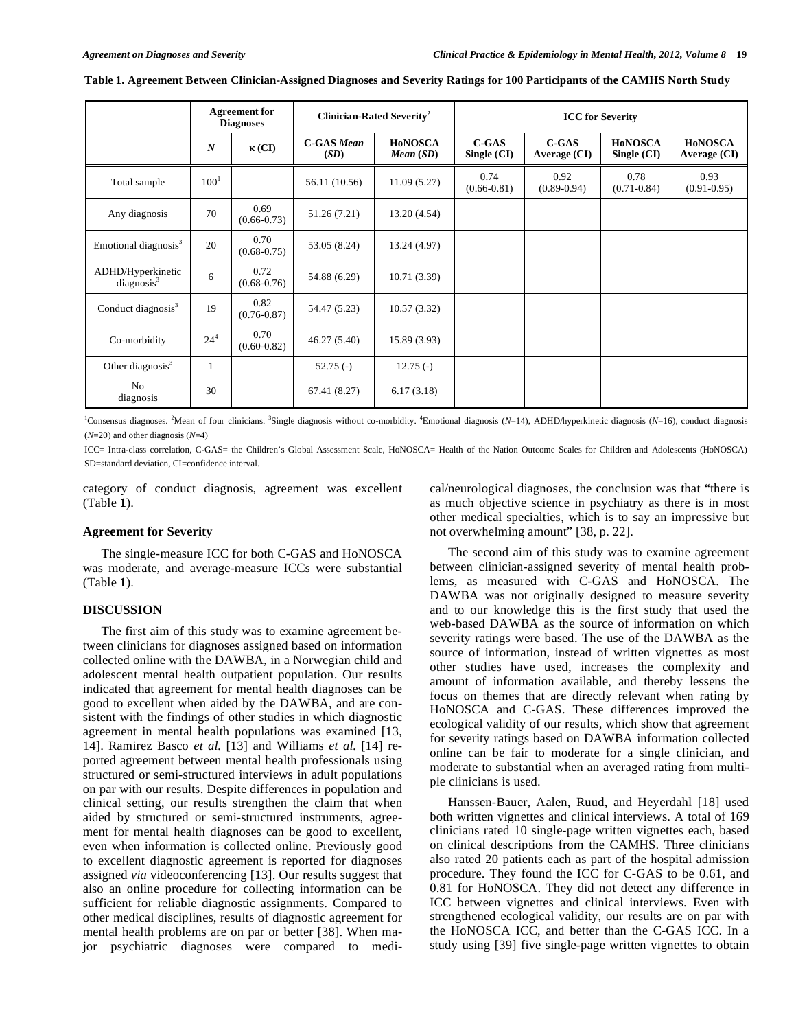|                                             | <b>Agreement</b> for<br><b>Diagnoses</b> |                         | Clinician-Rated Severity <sup>2</sup> |                            | <b>ICC</b> for Severity |                           |                                 |                                |
|---------------------------------------------|------------------------------------------|-------------------------|---------------------------------------|----------------------------|-------------------------|---------------------------|---------------------------------|--------------------------------|
|                                             | $\boldsymbol{N}$                         | $\kappa$ (CI)           | <b>C-GAS Mean</b><br>(SD)             | <b>HONOSCA</b><br>Mean(SD) | $C-GAS$<br>Single (CI)  | $C-GAS$<br>Average $(CI)$ | <b>HONOSCA</b><br>Single $(CI)$ | <b>HONOSCA</b><br>Average (CI) |
| Total sample                                | $100^{1}$                                |                         | 56.11 (10.56)                         | 11.09(5.27)                | 0.74<br>$(0.66 - 0.81)$ | 0.92<br>$(0.89 - 0.94)$   | 0.78<br>$(0.71 - 0.84)$         | 0.93<br>$(0.91 - 0.95)$        |
| Any diagnosis                               | 70                                       | 0.69<br>$(0.66 - 0.73)$ | 51.26 (7.21)                          | 13.20(4.54)                |                         |                           |                                 |                                |
| Emotional diagnosis <sup>3</sup>            | 20                                       | 0.70<br>$(0.68 - 0.75)$ | 53.05 (8.24)                          | 13.24 (4.97)               |                         |                           |                                 |                                |
| ADHD/Hyperkinetic<br>diagnosis <sup>3</sup> | 6                                        | 0.72<br>$(0.68 - 0.76)$ | 54.88 (6.29)                          | 10.71(3.39)                |                         |                           |                                 |                                |
| Conduct diagnosis <sup>3</sup>              | 19                                       | 0.82<br>$(0.76 - 0.87)$ | 54.47 (5.23)                          | 10.57(3.32)                |                         |                           |                                 |                                |
| Co-morbidity                                | $24^{4}$                                 | 0.70<br>$(0.60 - 0.82)$ | 46.27(5.40)                           | 15.89 (3.93)               |                         |                           |                                 |                                |
| Other diagnosis $3$                         | 1                                        |                         | $52.75(-)$                            | $12.75$ (-)                |                         |                           |                                 |                                |
| N <sub>0</sub><br>diagnosis                 | 30                                       |                         | 67.41(8.27)                           | 6.17(3.18)                 |                         |                           |                                 |                                |

| Table 1. Agreement Between Clinician-Assigned Diagnoses and Severity Ratings for 100 Participants of the CAMHS North Study |  |  |
|----------------------------------------------------------------------------------------------------------------------------|--|--|
|                                                                                                                            |  |  |

<sup>1</sup>Consensus diagnoses. <sup>2</sup>Mean of four clinicians. <sup>3</sup>Single diagnosis without co-morbidity. <sup>4</sup>Emotional diagnosis (*N*=14), ADHD/hyperkinetic diagnosis (*N*=16), conduct diagnosis (*N*=20) and other diagnosis (*N*=4)

ICC= Intra-class correlation, C-GAS= the Children's Global Assessment Scale, HoNOSCA= Health of the Nation Outcome Scales for Children and Adolescents (HoNOSCA) SD=standard deviation, CI=confidence interval.

category of conduct diagnosis, agreement was excellent (Table **1**).

### **Agreement for Severity**

The single-measure ICC for both C-GAS and HoNOSCA was moderate, and average-measure ICCs were substantial (Table **1**).

# **DISCUSSION**

The first aim of this study was to examine agreement between clinicians for diagnoses assigned based on information collected online with the DAWBA, in a Norwegian child and adolescent mental health outpatient population. Our results indicated that agreement for mental health diagnoses can be good to excellent when aided by the DAWBA, and are consistent with the findings of other studies in which diagnostic agreement in mental health populations was examined [13, 14]. Ramirez Basco *et al.* [13] and Williams *et al.* [14] reported agreement between mental health professionals using structured or semi-structured interviews in adult populations on par with our results. Despite differences in population and clinical setting, our results strengthen the claim that when aided by structured or semi-structured instruments, agreement for mental health diagnoses can be good to excellent, even when information is collected online. Previously good to excellent diagnostic agreement is reported for diagnoses assigned *via* videoconferencing [13]. Our results suggest that also an online procedure for collecting information can be sufficient for reliable diagnostic assignments. Compared to other medical disciplines, results of diagnostic agreement for mental health problems are on par or better [38]. When major psychiatric diagnoses were compared to medical/neurological diagnoses, the conclusion was that "there is as much objective science in psychiatry as there is in most other medical specialties, which is to say an impressive but not overwhelming amount" [38, p. 22].

The second aim of this study was to examine agreement between clinician-assigned severity of mental health problems, as measured with C-GAS and HoNOSCA. The DAWBA was not originally designed to measure severity and to our knowledge this is the first study that used the web-based DAWBA as the source of information on which severity ratings were based. The use of the DAWBA as the source of information, instead of written vignettes as most other studies have used, increases the complexity and amount of information available, and thereby lessens the focus on themes that are directly relevant when rating by HoNOSCA and C-GAS. These differences improved the ecological validity of our results, which show that agreement for severity ratings based on DAWBA information collected online can be fair to moderate for a single clinician, and moderate to substantial when an averaged rating from multiple clinicians is used.

Hanssen-Bauer, Aalen, Ruud, and Heyerdahl [18] used both written vignettes and clinical interviews. A total of 169 clinicians rated 10 single-page written vignettes each, based on clinical descriptions from the CAMHS. Three clinicians also rated 20 patients each as part of the hospital admission procedure. They found the ICC for C-GAS to be 0.61, and 0.81 for HoNOSCA. They did not detect any difference in ICC between vignettes and clinical interviews. Even with strengthened ecological validity, our results are on par with the HoNOSCA ICC, and better than the C-GAS ICC. In a study using [39] five single-page written vignettes to obtain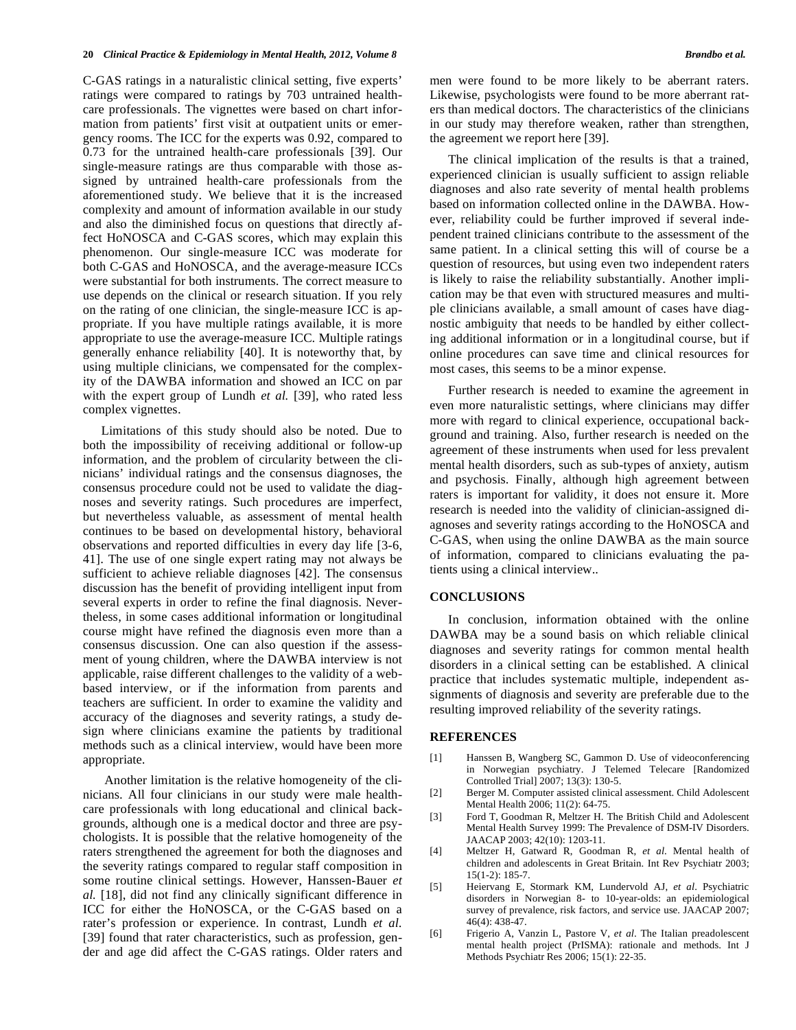C-GAS ratings in a naturalistic clinical setting, five experts' ratings were compared to ratings by 703 untrained healthcare professionals. The vignettes were based on chart information from patients' first visit at outpatient units or emergency rooms. The ICC for the experts was 0.92, compared to 0.73 for the untrained health-care professionals [39]. Our single-measure ratings are thus comparable with those assigned by untrained health-care professionals from the aforementioned study. We believe that it is the increased complexity and amount of information available in our study and also the diminished focus on questions that directly affect HoNOSCA and C-GAS scores, which may explain this phenomenon. Our single-measure ICC was moderate for both C-GAS and HoNOSCA, and the average-measure ICCs were substantial for both instruments. The correct measure to use depends on the clinical or research situation. If you rely on the rating of one clinician, the single-measure ICC is appropriate. If you have multiple ratings available, it is more appropriate to use the average-measure ICC. Multiple ratings generally enhance reliability [40]. It is noteworthy that, by using multiple clinicians, we compensated for the complexity of the DAWBA information and showed an ICC on par with the expert group of Lundh *et al.* [39], who rated less complex vignettes.

Limitations of this study should also be noted. Due to both the impossibility of receiving additional or follow-up information, and the problem of circularity between the clinicians' individual ratings and the consensus diagnoses, the consensus procedure could not be used to validate the diagnoses and severity ratings. Such procedures are imperfect, but nevertheless valuable, as assessment of mental health continues to be based on developmental history, behavioral observations and reported difficulties in every day life [3-6, 41]. The use of one single expert rating may not always be sufficient to achieve reliable diagnoses [42]. The consensus discussion has the benefit of providing intelligent input from several experts in order to refine the final diagnosis. Nevertheless, in some cases additional information or longitudinal course might have refined the diagnosis even more than a consensus discussion. One can also question if the assessment of young children, where the DAWBA interview is not applicable, raise different challenges to the validity of a webbased interview, or if the information from parents and teachers are sufficient. In order to examine the validity and accuracy of the diagnoses and severity ratings, a study design where clinicians examine the patients by traditional methods such as a clinical interview, would have been more appropriate.

 Another limitation is the relative homogeneity of the clinicians. All four clinicians in our study were male healthcare professionals with long educational and clinical backgrounds, although one is a medical doctor and three are psychologists. It is possible that the relative homogeneity of the raters strengthened the agreement for both the diagnoses and the severity ratings compared to regular staff composition in some routine clinical settings. However, Hanssen-Bauer *et al.* [18], did not find any clinically significant difference in ICC for either the HoNOSCA, or the C-GAS based on a rater's profession or experience. In contrast, Lundh *et al.* [39] found that rater characteristics, such as profession, gender and age did affect the C-GAS ratings. Older raters and men were found to be more likely to be aberrant raters. Likewise, psychologists were found to be more aberrant raters than medical doctors. The characteristics of the clinicians in our study may therefore weaken, rather than strengthen, the agreement we report here [39].

The clinical implication of the results is that a trained, experienced clinician is usually sufficient to assign reliable diagnoses and also rate severity of mental health problems based on information collected online in the DAWBA. However, reliability could be further improved if several independent trained clinicians contribute to the assessment of the same patient. In a clinical setting this will of course be a question of resources, but using even two independent raters is likely to raise the reliability substantially. Another implication may be that even with structured measures and multiple clinicians available, a small amount of cases have diagnostic ambiguity that needs to be handled by either collecting additional information or in a longitudinal course, but if online procedures can save time and clinical resources for most cases, this seems to be a minor expense.

Further research is needed to examine the agreement in even more naturalistic settings, where clinicians may differ more with regard to clinical experience, occupational background and training. Also, further research is needed on the agreement of these instruments when used for less prevalent mental health disorders, such as sub-types of anxiety, autism and psychosis. Finally, although high agreement between raters is important for validity, it does not ensure it. More research is needed into the validity of clinician-assigned diagnoses and severity ratings according to the HoNOSCA and C-GAS, when using the online DAWBA as the main source of information, compared to clinicians evaluating the patients using a clinical interview..

#### **CONCLUSIONS**

In conclusion, information obtained with the online DAWBA may be a sound basis on which reliable clinical diagnoses and severity ratings for common mental health disorders in a clinical setting can be established. A clinical practice that includes systematic multiple, independent assignments of diagnosis and severity are preferable due to the resulting improved reliability of the severity ratings.

#### **REFERENCES**

- [1] Hanssen B, Wangberg SC, Gammon D. Use of videoconferencing in Norwegian psychiatry. J Telemed Telecare [Randomized Controlled Trial] 2007; 13(3): 130-5.
- [2] Berger M. Computer assisted clinical assessment. Child Adolescent Mental Health 2006; 11(2): 64-75.
- [3] Ford T, Goodman R, Meltzer H. The British Child and Adolescent Mental Health Survey 1999: The Prevalence of DSM-IV Disorders. JAACAP 2003; 42(10): 1203-11.
- [4] Meltzer H, Gatward R, Goodman R, *et al*. Mental health of children and adolescents in Great Britain. Int Rev Psychiatr 2003; 15(1-2): 185-7.
- [5] Heiervang E, Stormark KM, Lundervold AJ, *et al*. Psychiatric disorders in Norwegian 8- to 10-year-olds: an epidemiological survey of prevalence, risk factors, and service use. JAACAP 2007; 46(4): 438-47.
- [6] Frigerio A, Vanzin L, Pastore V, *et al*. The Italian preadolescent mental health project (PrISMA): rationale and methods. Int J Methods Psychiatr Res 2006; 15(1): 22-35.